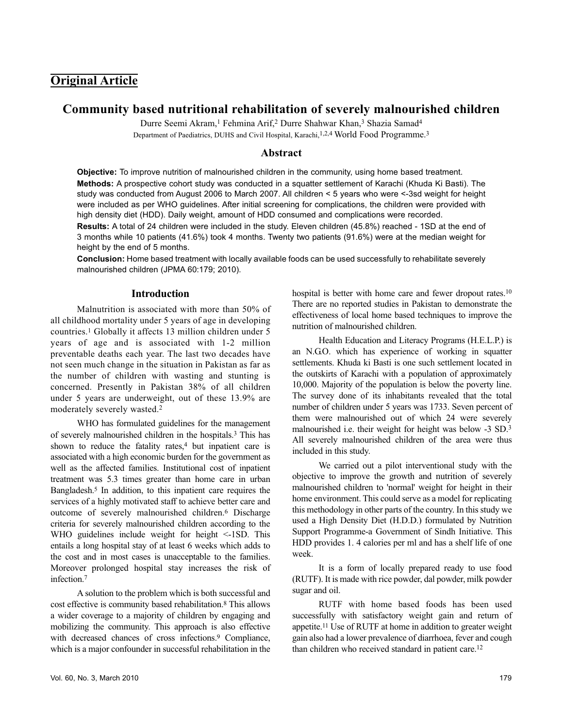# **Original Article**

## **Community based nutritional rehabilitation of severely malnourished children**

Durre Seemi Akram,<sup>1</sup> Fehmina Arif,<sup>2</sup> Durre Shahwar Khan,<sup>3</sup> Shazia Samad<sup>4</sup>

Department of Paediatrics, DUHS and Civil Hospital, Karachi, <sup>1, 2, 4</sup> World Food Programme.<sup>3</sup>

#### **Abstract**

**Objective:** To improve nutrition of malnourished children in the community, using home based treatment. **Methods:** A prospective cohort study was conducted in a squatter settlement of Karachi (Khuda Ki Basti). The study was conducted from August 2006 to March 2007. All children < 5 years who were <-3sd weight for height were included as per WHO guidelines. After initial screening for complications, the children were provided with high density diet (HDD). Daily weight, amount of HDD consumed and complications were recorded.

**Results:** A total of 24 children were included in the study. Eleven children (45.8%) reached - 1SD at the end of 3 months while 10 patients (41.6%) took 4 months. Twenty two patients (91.6%) were at the median weight for height by the end of 5 months.

**Conclusion:** Home based treatment with locally available foods can be used successfully to rehabilitate severely malnourished children (JPMA 60:179; 2010).

#### **Introduction**

Malnutrition is associated with more than 50% of all childhood mortality under 5 years of age in developing countries.<sup>1</sup> Globally it affects 13 million children under 5 years of age and is associated with 1-2 million preventable deaths each year. The last two decades have not seen much change in the situation in Pakistan as far as the number of children with wasting and stunting is concerned. Presently in Pakistan 38% of all children under 5 years are underweight, out of these 13.9% are moderately severely wasted.<sup>2</sup>

WHO has formulated guidelines for the management of severely malnourished children in the hospitals.<sup>3</sup> This has shown to reduce the fatality rates,<sup>4</sup> but inpatient care is associated with a high economic burden for the government as well as the affected families. Institutional cost of inpatient treatment was 5.3 times greater than home care in urban Bangladesh.<sup>5</sup> In addition, to this inpatient care requires the services of a highly motivated staff to achieve better care and outcome of severely malnourished children.<sup>6</sup> Discharge criteria for severely malnourished children according to the WHO guidelines include weight for height <-1SD. This entails a long hospital stay of at least 6 weeks which adds to the cost and in most cases is unacceptable to the families. Moreover prolonged hospital stay increases the risk of infection.<sup>7</sup>

A solution to the problem which is both successful and cost effective is community based rehabilitation.<sup>8</sup> This allows a wider coverage to a majority of children by engaging and mobilizing the community. This approach is also effective with decreased chances of cross infections.<sup>9</sup> Compliance, which is a major confounder in successful rehabilitation in the hospital is better with home care and fewer dropout rates.<sup>10</sup> There are no reported studies in Pakistan to demonstrate the effectiveness of local home based techniques to improve the nutrition of malnourished children.

Health Education and Literacy Programs (H.E.L.P.) is an N.G.O. which has experience of working in squatter settlements. Khuda ki Basti is one such settlement located in the outskirts of Karachi with a population of approximately 10,000. Majority of the population is below the poverty line. The survey done of its inhabitants revealed that the total number of children under 5 years was 1733. Seven percent of them were malnourished out of which 24 were severely malnourished i.e. their weight for height was below -3 SD.<sup>3</sup> All severely malnourished children of the area were thus included in this study.

We carried out a pilot interventional study with the objective to improve the growth and nutrition of severely malnourished children to 'normal' weight for height in their home environment. This could serve as a model for replicating this methodology in other parts of the country. In this study we used a High Density Diet (H.D.D.) formulated by Nutrition Support Programme-a Government of Sindh Initiative. This HDD provides 1. 4 calories per ml and has a shelf life of one week.

It is a form of locally prepared ready to use food (RUTF). It is made with rice powder, dal powder, milk powder sugar and oil.

RUTF with home based foods has been used successfully with satisfactory weight gain and return of appetite.<sup>11</sup> Use of RUTF at home in addition to greater weight gain also had a lower prevalence of diarrhoea, fever and cough than children who received standard in patient care. 12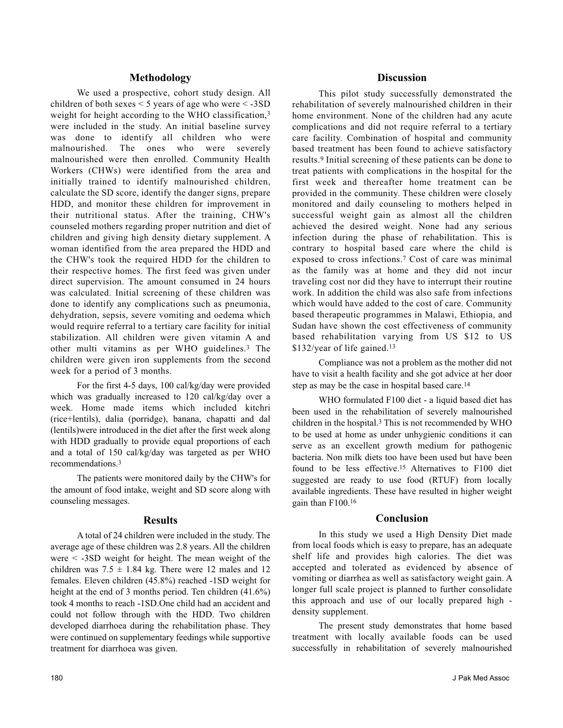### **Methodology**

We used a prospective, cohort study design. All children of both sexes  $\leq$  5 years of age who were  $\leq$  -3SD weight for height according to the WHO classification,<sup>3</sup> were included in the study. An initial baseline survey was done to identify all children who were malnourished. The ones who were severely malnourished were then enrolled. Community Health Workers (CHWs) were identified from the area and initially trained to identify malnourished children, calculate the SD score, identify the danger signs, prepare HDD, and monitor these children for improvement in their nutritional status. After the training, CHW's counseled mothers regarding proper nutrition and diet of children and giving high density dietary supplement. A woman identified from the area prepared the HDD and the CHW's took the required HDD for the children to their respective homes. The first feed was given under direct supervision. The amount consumed in 24 hours was calculated. Initial screening of these children was done to identify any complications such as pneumonia, dehydration, sepsis, severe vomiting and oedema which would require referral to a tertiary care facility for initial stabilization. All children were given vitamin A and other multi vitamins as per WHO guidelines.<sup>3</sup> The children were given iron supplements from the second week for a period of 3 months.

For the first 4-5 days, 100 cal/kg/day were provided which was gradually increased to 120 cal/kg/day over a week. Home made items which included kitchri (rice+lentils), dalia (porridge), banana, chapatti and dal (lentils)were introduced in the diet after the first week along with HDD gradually to provide equal proportions of each and a total of 150 cal/kg/day was targeted as per WHO recommendations.<sup>3</sup>

The patients were monitored daily by the CHW's for the amount of food intake, weight and SD score along with counseling messages.

### **Results**

A total of 24 children were included in the study. The average age of these children was 2.8 years. All the children were < -3SD weight for height. The mean weight of the children was  $7.5 \pm 1.84$  kg. There were 12 males and 12 females. Eleven children (45.8%) reached -1SD weight for height at the end of 3 months period. Ten children  $(41.6\%)$ took 4 months to reach -1SD.One child had an accident and could not follow through with the HDD. Two children developed diarrhoea during the rehabilitation phase. They were continued on supplementary feedings while supportive treatment for diarrhoea was given.

This pilot study successfully demonstrated the rehabilitation of severely malnourished children in their home environment. None of the children had any acute complications and did not require referral to a tertiary care facility. Combination of hospital and community based treatment has been found to achieve satisfactory results.<sup>9</sup> Initial screening of these patients can be done to treat patients with complications in the hospital for the first week and thereafter home treatment can be provided in the community. These children were closely monitored and daily counseling to mothers helped in successful weight gain as almost all the children achieved the desired weight. None had any serious infection during the phase of rehabilitation. This is contrary to hospital based care where the child is exposed to cross infections.<sup>7</sup> Cost of care was minimal as the family was at home and they did not incur traveling cost nor did they have to interrupt their routine work. In addition the child was also safe from infections which would have added to the cost of care. Community based therapeutic programmes in Malawi, Ethiopia, and Sudan have shown the cost effectiveness of community based rehabilitation varying from US \$12 to US \$132/year of life gained.<sup>13</sup>

Compliance was not a problem as the mother did not have to visit a health facility and she got advice at her door step as may be the case in hospital based care.<sup>14</sup>

WHO formulated F100 diet - a liquid based diet has been used in the rehabilitation of severely malnourished children in the hospital.<sup>3</sup> This is not recommended by WHO to be used at home as under unhygienic conditions it can serve as an excellent growth medium for pathogenic bacteria. Non milk diets too have been used but have been found to be less effective.<sup>15</sup> Alternatives to F100 diet suggested are ready to use food (RTUF) from locally available ingredients. These have resulted in higher weight gain than F100.<sup>16</sup>

### **Conclusion**

In this study we used a High Density Diet made from local foods which is easy to prepare, has an adequate shelf life and provides high calories. The diet was accepted and tolerated as evidenced by absence of vomiting or diarrhea as well as satisfactory weight gain. A longer full scale project is planned to further consolidate this approach and use of our locally prepared high density supplement.

The present study demonstrates that home based treatment with locally available foods can be used successfully in rehabilitation of severely malnourished